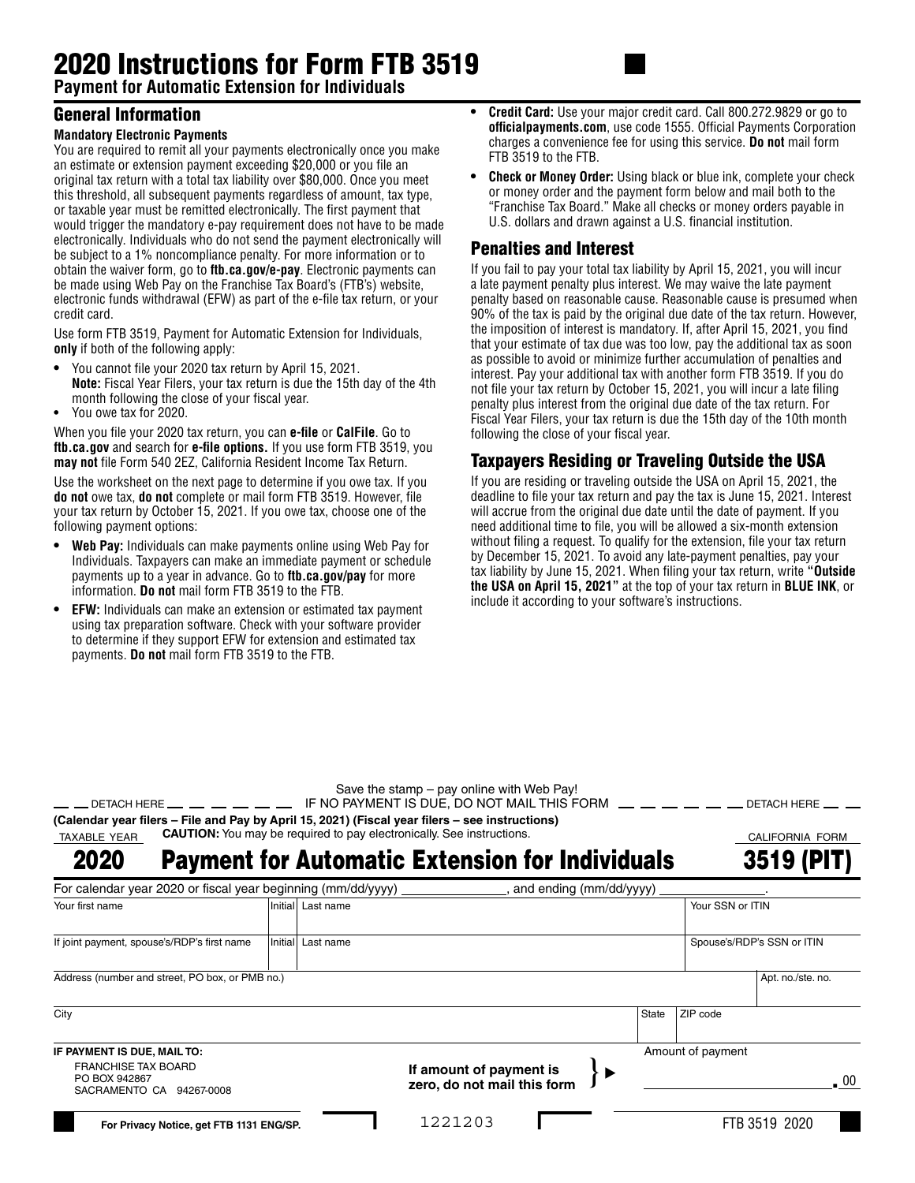# 2020 Instructions for Form FTB 3519

**Payment for Automatic Extension for Individuals**

### General Information

#### **Mandatory Electronic Payments**

You are required to remit all your payments electronically once you make an estimate or extension payment exceeding \$20,000 or you file an original tax return with a total tax liability over \$80,000. Once you meet this threshold, all subsequent payments regardless of amount, tax type, or taxable year must be remitted electronically. The first payment that would trigger the mandatory e-pay requirement does not have to be made electronically. Individuals who do not send the payment electronically will be subject to a 1% noncompliance penalty. For more information or to obtain the waiver form, go to **ftb.ca.gov/e-pay**. Electronic payments can be made using Web Pay on the Franchise Tax Board's (FTB's) website, electronic funds withdrawal (EFW) as part of the e-file tax return, or your credit card.

Use form FTB 3519, Payment for Automatic Extension for Individuals, **only** if both of the following apply:

- **•** You cannot file your 2020 tax return by April 15, 2021. **Note:** Fiscal Year Filers, your tax return is due the 15th day of the 4th month following the close of your fiscal year.
- **•** You owe tax for 2020.

When you file your 2020 tax return, you can **e-file** or **CalFile**. Go to **ftb.ca.gov** and search for **e-file options.** If you use form FTB 3519, you **may not** file Form 540 2EZ, California Resident Income Tax Return.

Use the worksheet on the next page to determine if you owe tax. If you **do not** owe tax, **do not** complete or mail form FTB 3519. However, file your tax return by October 15, 2021. If you owe tax, choose one of the following payment options:

- **• Web Pay:** Individuals can make payments online using Web Pay for Individuals. Taxpayers can make an immediate payment or schedule payments up to a year in advance. Go to **ftb.ca.gov/pay** for more information. **Do not** mail form FTB 3519 to the FTB.
- **• EFW:** Individuals can make an extension or estimated tax payment using tax preparation software. Check with your software provider to determine if they support EFW for extension and estimated tax payments. **Do not** mail form FTB 3519 to the FTB.
- **• Credit Card:** Use your major credit card. Call 800.272.9829 or go to **officialpayments.com**, use code 1555. Official Payments Corporation charges a convenience fee for using this service. **Do not** mail form FTB 3519 to the FTB.
- **•• Check or Money Order:** Using black or blue ink, complete your check or money order and the payment form below and mail both to the "Franchise Tax Board." Make all checks or money orders payable in U.S. dollars and drawn against a U.S. financial institution.

#### Penalties and Interest

If you fail to pay your total tax liability by April 15, 2021, you will incur a late payment penalty plus interest. We may waive the late payment penalty based on reasonable cause. Reasonable cause is presumed when 90% of the tax is paid by the original due date of the tax return. However, the imposition of interest is mandatory. If, after April 15, 2021, you find that your estimate of tax due was too low, pay the additional tax as soon as possible to avoid or minimize further accumulation of penalties and interest. Pay your additional tax with another form FTB 3519. If you do not file your tax return by October 15, 2021, you will incur a late filing penalty plus interest from the original due date of the tax return. For Fiscal Year Filers, your tax return is due the 15th day of the 10th month following the close of your fiscal year.

## Taxpayers Residing or Traveling Outside the USA

If you are residing or traveling outside the USA on April 15, 2021, the deadline to file your tax return and pay the tax is June 15, 2021. Interest will accrue from the original due date until the date of payment. If you need additional time to file, you will be allowed a six-month extension without filing a request. To qualify for the extension, file your tax return by December 15, 2021. To avoid any late-payment penalties, pay your tax liability by June 15, 2021. When filing your tax return, write **"Outside the USA on April 15, 2021"** at the top of your tax return in **BLUE INK**, or include it according to your software's instructions.

Save the stamp – pay online with Web Pay!

|                                                                                                 | — — DETACH HERE — — — — — — — IF NO PAYMENT IS DUE. DO NOT MAIL THIS FORM — — — — — — — DETACH HERE — — |                 |  |  |  |  |  |
|-------------------------------------------------------------------------------------------------|---------------------------------------------------------------------------------------------------------|-----------------|--|--|--|--|--|
| (Calendar year filers – File and Pay by April 15, 2021) (Fiscal year filers – see instructions) |                                                                                                         |                 |  |  |  |  |  |
|                                                                                                 | TAXABLE YEAR CAUTION: You may be required to pay electronically. See instructions.                      | CALIFORNIA FORM |  |  |  |  |  |

Payment for Automatic Extension for Individuals 2020

| 3519 (PIT) |  |
|------------|--|
|            |  |

| For calendar year 2020 or fiscal year beginning (mm/dd/yyyy)            |                   |                                                        | and ending (mm/dd/yyyy) |       |                            |                   |  |
|-------------------------------------------------------------------------|-------------------|--------------------------------------------------------|-------------------------|-------|----------------------------|-------------------|--|
| Your first name                                                         | Initial Last name |                                                        |                         |       | Your SSN or ITIN           |                   |  |
| If joint payment, spouse's/RDP's first name                             | Initial Last name |                                                        |                         |       | Spouse's/RDP's SSN or ITIN |                   |  |
| Address (number and street, PO box, or PMB no.)                         |                   |                                                        |                         |       |                            | Apt. no./ste. no. |  |
| City                                                                    |                   |                                                        |                         | State | ZIP code                   |                   |  |
| IF PAYMENT IS DUE, MAIL TO:                                             |                   |                                                        |                         |       | Amount of payment          |                   |  |
| <b>FRANCHISE TAX BOARD</b><br>PO BOX 942867<br>SACRAMENTO CA 94267-0008 |                   | If amount of payment is<br>zero, do not mail this form |                         |       |                            | . 00              |  |
| For Privacy Notice, get FTB 1131 ENG/SP.                                |                   | 1221203                                                |                         |       |                            | FTB 3519 2020     |  |